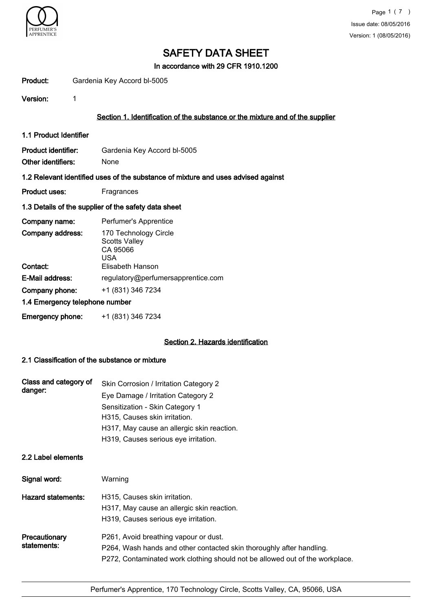

In accordance with 29 CFR 1910.1200

| Product: | Gardenia Key Accord bl-5005 |
|----------|-----------------------------|
|          |                             |

Version: 1

## Section 1. Identification of the substance or the mixture and of the supplier

1.1 Product Identifier

Product identifier: Gardenia Key Accord bl-5005 Other identifiers: None

#### 1.2 Relevant identified uses of the substance of mixture and uses advised against

Product uses: Fragrances

#### 1.3 Details of the supplier of the safety data sheet

| Company name:                  | Perfumer's Apprentice                                            |
|--------------------------------|------------------------------------------------------------------|
| Company address:               | 170 Technology Circle<br><b>Scotts Valley</b><br>CA 95066<br>USA |
| Contact:                       | Elisabeth Hanson                                                 |
| E-Mail address:                | regulatory@perfumersapprentice.com                               |
| Company phone:                 | +1 (831) 346 7234                                                |
| 1.4 Emergency telephone number |                                                                  |
| <b>Emergency phone:</b>        | +1 (831) 346 7234                                                |

#### Section 2. Hazards identification

## 2.1 Classification of the substance or mixture

| Class and category of<br>danger: | Skin Corrosion / Irritation Category 2     |
|----------------------------------|--------------------------------------------|
|                                  | Eye Damage / Irritation Category 2         |
|                                  | Sensitization - Skin Category 1            |
|                                  | H315, Causes skin irritation.              |
|                                  | H317, May cause an allergic skin reaction. |
|                                  | H319, Causes serious eye irritation.       |
|                                  |                                            |

#### 2.2 Label elements

| Signal word:                 | Warning                                                                                                                                                                                       |
|------------------------------|-----------------------------------------------------------------------------------------------------------------------------------------------------------------------------------------------|
| <b>Hazard statements:</b>    | H315, Causes skin irritation.<br>H317, May cause an allergic skin reaction.<br>H319, Causes serious eye irritation.                                                                           |
| Precautionary<br>statements: | P261, Avoid breathing vapour or dust.<br>P264, Wash hands and other contacted skin thoroughly after handling.<br>P272, Contaminated work clothing should not be allowed out of the workplace. |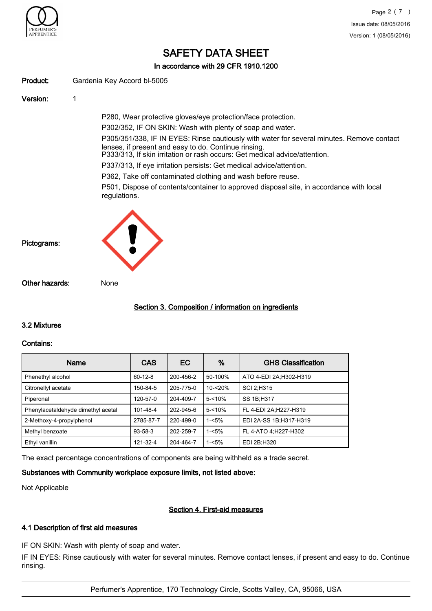

In accordance with 29 CFR 1910.1200

| Product: | Gardenia Key Accord bl-5005 |
|----------|-----------------------------|
|          |                             |

Version: 1

P280, Wear protective gloves/eye protection/face protection. P302/352, IF ON SKIN: Wash with plenty of soap and water. P305/351/338, IF IN EYES: Rinse cautiously with water for several minutes. Remove contact lenses, if present and easy to do. Continue rinsing. P333/313, If skin irritation or rash occurs: Get medical advice/attention.

P337/313, If eye irritation persists: Get medical advice/attention.

P362, Take off contaminated clothing and wash before reuse.

P501, Dispose of contents/container to approved disposal site, in accordance with local regulations.



Other hazards: None

Pictograms:

Section 3. Composition / information on ingredients

#### 3.2 Mixtures

#### Contains:

| Name                               | <b>CAS</b>    | <b>EC</b> | %          | <b>GHS Classification</b> |
|------------------------------------|---------------|-----------|------------|---------------------------|
| Phenethyl alcohol                  | $60 - 12 - 8$ | 200-456-2 | 50-100%    | ATO 4-EDI 2A;H302-H319    |
| Citronellyl acetate                | 150-84-5      | 205-775-0 | $10 - 20%$ | <b>SCI 2:H315</b>         |
| Piperonal                          | 120-57-0      | 204-409-7 | $5 - 10%$  | SS 1B:H317                |
| Phenylacetaldehyde dimethyl acetal | 101-48-4      | 202-945-6 | $5 - 10%$  | FL 4-EDI 2A;H227-H319     |
| 2-Methoxy-4-propylphenol           | 2785-87-7     | 220-499-0 | $1 - 5%$   | EDI 2A-SS 1B;H317-H319    |
| Methyl benzoate                    | $93 - 58 - 3$ | 202-259-7 | $1 - 5%$   | FL 4-ATO 4:H227-H302      |
| Ethyl vanillin                     | 121-32-4      | 204-464-7 | $1 - 5%$   | EDI 2B:H320               |

The exact percentage concentrations of components are being withheld as a trade secret.

#### Substances with Community workplace exposure limits, not listed above:

Not Applicable

#### Section 4. First-aid measures

## 4.1 Description of first aid measures

IF ON SKIN: Wash with plenty of soap and water.

IF IN EYES: Rinse cautiously with water for several minutes. Remove contact lenses, if present and easy to do. Continue rinsing.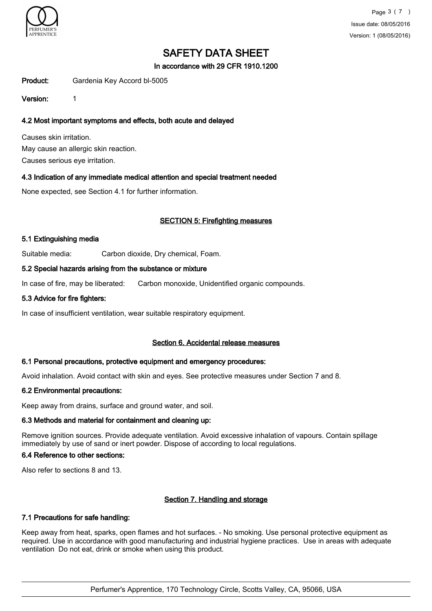

In accordance with 29 CFR 1910.1200

Product: Gardenia Key Accord bl-5005

Version: 1

## 4.2 Most important symptoms and effects, both acute and delayed

Causes skin irritation. May cause an allergic skin reaction. Causes serious eye irritation.

#### 4.3 Indication of any immediate medical attention and special treatment needed

None expected, see Section 4.1 for further information.

## SECTION 5: Firefighting measures

#### 5.1 Extinguishing media

Suitable media: Carbon dioxide, Dry chemical, Foam.

#### 5.2 Special hazards arising from the substance or mixture

In case of fire, may be liberated: Carbon monoxide, Unidentified organic compounds.

#### 5.3 Advice for fire fighters:

In case of insufficient ventilation, wear suitable respiratory equipment.

#### Section 6. Accidental release measures

#### 6.1 Personal precautions, protective equipment and emergency procedures:

Avoid inhalation. Avoid contact with skin and eyes. See protective measures under Section 7 and 8.

#### 6.2 Environmental precautions:

Keep away from drains, surface and ground water, and soil.

#### 6.3 Methods and material for containment and cleaning up:

Remove ignition sources. Provide adequate ventilation. Avoid excessive inhalation of vapours. Contain spillage immediately by use of sand or inert powder. Dispose of according to local regulations.

#### 6.4 Reference to other sections:

Also refer to sections 8 and 13.

#### Section 7. Handling and storage

#### 7.1 Precautions for safe handling:

Keep away from heat, sparks, open flames and hot surfaces. - No smoking. Use personal protective equipment as required. Use in accordance with good manufacturing and industrial hygiene practices. Use in areas with adequate ventilation Do not eat, drink or smoke when using this product.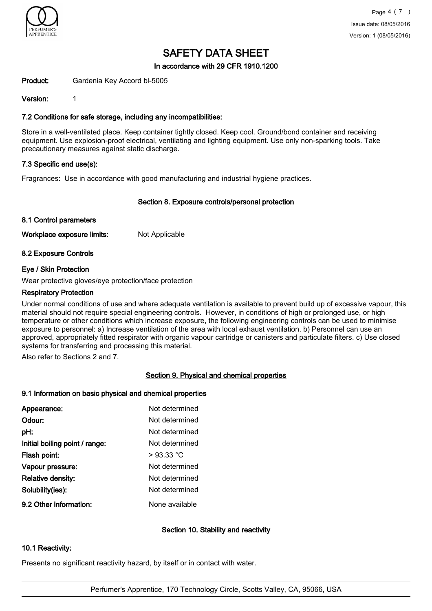

## In accordance with 29 CFR 1910.1200

Product: Gardenia Key Accord bl-5005

Version: 1

## 7.2 Conditions for safe storage, including any incompatibilities:

Store in a well-ventilated place. Keep container tightly closed. Keep cool. Ground/bond container and receiving equipment. Use explosion-proof electrical, ventilating and lighting equipment. Use only non-sparking tools. Take precautionary measures against static discharge.

## 7.3 Specific end use(s):

Fragrances: Use in accordance with good manufacturing and industrial hygiene practices.

#### Section 8. Exposure controls/personal protection

#### 8.1 Control parameters

Workplace exposure limits: Not Applicable

#### 8.2 Exposure Controls

## Eye / Skin Protection

Wear protective gloves/eye protection/face protection

#### Respiratory Protection

Under normal conditions of use and where adequate ventilation is available to prevent build up of excessive vapour, this material should not require special engineering controls. However, in conditions of high or prolonged use, or high temperature or other conditions which increase exposure, the following engineering controls can be used to minimise exposure to personnel: a) Increase ventilation of the area with local exhaust ventilation. b) Personnel can use an approved, appropriately fitted respirator with organic vapour cartridge or canisters and particulate filters. c) Use closed systems for transferring and processing this material.

Also refer to Sections 2 and 7.

## Section 9. Physical and chemical properties

#### 9.1 Information on basic physical and chemical properties

| Appearance:                    | Not determined |
|--------------------------------|----------------|
| Odour:                         | Not determined |
| pH:                            | Not determined |
| Initial boiling point / range: | Not determined |
| Flash point:                   | $>93.33$ °C    |
| Vapour pressure:               | Not determined |
| <b>Relative density:</b>       | Not determined |
| Solubility(ies):               | Not determined |
| 9.2 Other information:         | None available |

## Section 10. Stability and reactivity

#### 10.1 Reactivity:

Presents no significant reactivity hazard, by itself or in contact with water.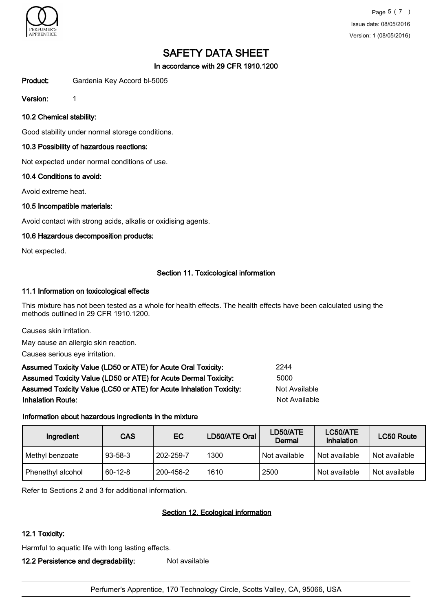

Page 5 ( 7 ) Issue date: 08/05/2016 Version: 1 (08/05/2016)

# SAFETY DATA SHEET

In accordance with 29 CFR 1910.1200

Product: Gardenia Key Accord bl-5005

Version: 1

10.2 Chemical stability:

Good stability under normal storage conditions.

## 10.3 Possibility of hazardous reactions:

Not expected under normal conditions of use.

#### 10.4 Conditions to avoid:

Avoid extreme heat.

## 10.5 Incompatible materials:

Avoid contact with strong acids, alkalis or oxidising agents.

#### 10.6 Hazardous decomposition products:

Not expected.

## Section 11. Toxicological information

#### 11.1 Information on toxicological effects

This mixture has not been tested as a whole for health effects. The health effects have been calculated using the methods outlined in 29 CFR 1910.1200.

Causes skin irritation.

May cause an allergic skin reaction.

Causes serious eye irritation.

| Assumed Toxicity Value (LD50 or ATE) for Acute Oral Toxicity:       | 2244          |
|---------------------------------------------------------------------|---------------|
| Assumed Toxicity Value (LD50 or ATE) for Acute Dermal Toxicity:     | 5000          |
| Assumed Toxicity Value (LC50 or ATE) for Acute Inhalation Toxicity: | Not Available |
| <b>Inhalation Route:</b>                                            | Not Available |

## Information about hazardous ingredients in the mixture

| Ingredient        | <b>CAS</b>    | EC        | LD50/ATE Oral | LD50/ATE<br>Dermal | LC50/ATE<br><b>Inhalation</b> | LC50 Route    |
|-------------------|---------------|-----------|---------------|--------------------|-------------------------------|---------------|
| Methyl benzoate   | $93 - 58 - 3$ | 202-259-7 | 1300          | Not available      | Not available                 | Not available |
| Phenethyl alcohol | $60 - 12 - 8$ | 200-456-2 | 1610          | 2500               | Not available                 | Not available |

Refer to Sections 2 and 3 for additional information.

## Section 12. Ecological information

#### 12.1 Toxicity:

Harmful to aquatic life with long lasting effects.

12.2 Persistence and degradability: Not available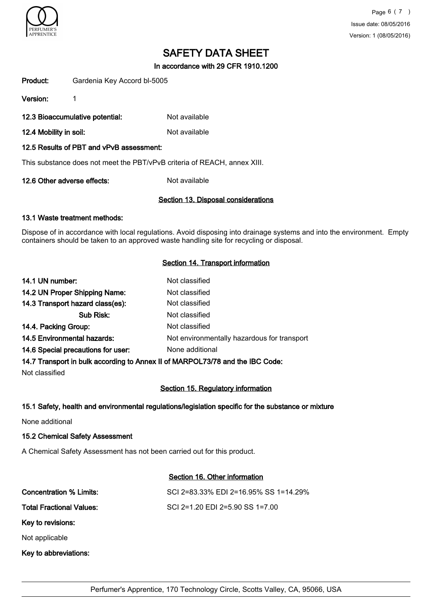

#### In accordance with 29 CFR 1910.1200

| Product: | Gardenia Key Accord bl-5005 |
|----------|-----------------------------|
|          |                             |

Version: 1

- 12.3 Bioaccumulative potential: Not available
- 12.4 Mobility in soil: Not available

#### 12.5 Results of PBT and vPvB assessment:

This substance does not meet the PBT/vPvB criteria of REACH, annex XIII.

12.6 Other adverse effects: Not available

## Section 13. Disposal considerations

#### 13.1 Waste treatment methods:

Dispose of in accordance with local regulations. Avoid disposing into drainage systems and into the environment. Empty containers should be taken to an approved waste handling site for recycling or disposal.

## Section 14. Transport information

| 14.1 UN number:                    | Not classified                              |
|------------------------------------|---------------------------------------------|
| 14.2 UN Proper Shipping Name:      | Not classified                              |
| 14.3 Transport hazard class(es):   | Not classified                              |
| Sub Risk:                          | Not classified                              |
| 14.4. Packing Group:               | Not classified                              |
| 14.5 Environmental hazards:        | Not environmentally hazardous for transport |
| 14.6 Special precautions for user: | None additional                             |

#### 14.7 Transport in bulk according to Annex II of MARPOL73/78 and the IBC Code:

Not classified

## Section 15. Regulatory information

#### 15.1 Safety, health and environmental regulations/legislation specific for the substance or mixture

None additional

#### 15.2 Chemical Safety Assessment

A Chemical Safety Assessment has not been carried out for this product.

## Section 16. Other information

| <b>Concentration % Limits:</b>  | SCI 2=83.33% EDI 2=16.95% SS 1=14.29% |
|---------------------------------|---------------------------------------|
| <b>Total Fractional Values:</b> | SCI 2=1.20 EDI 2=5.90 SS 1=7.00       |
| Key to revisions:               |                                       |
| Not applicable                  |                                       |
| Key to abbreviations:           |                                       |